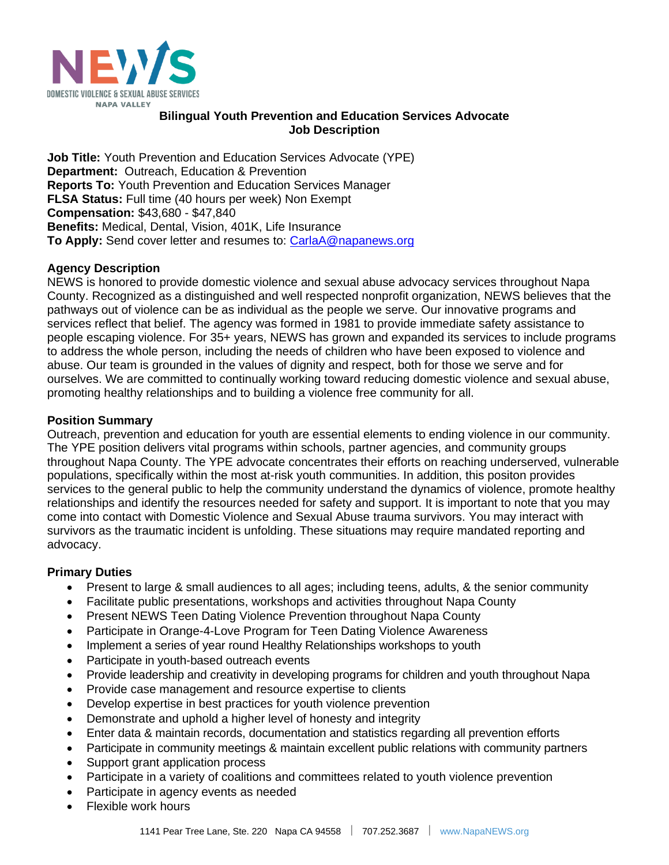

## **Bilingual Youth Prevention and Education Services Advocate Job Description**

**Job Title:** Youth Prevention and Education Services Advocate (YPE) **Department:** Outreach, Education & Prevention **Reports To:** Youth Prevention and Education Services Manager **FLSA Status:** Full time (40 hours per week) Non Exempt **Compensation:** \$43,680 - \$47,840 **Benefits:** Medical, Dental, Vision, 401K, Life Insurance **To Apply:** Send cover letter and resumes to: [CarlaA@napanews.org](mailto:CarlaA@napanews.org)

# **Agency Description**

NEWS is honored to provide domestic violence and sexual abuse advocacy services throughout Napa County. Recognized as a distinguished and well respected nonprofit organization, NEWS believes that the pathways out of violence can be as individual as the people we serve. Our innovative programs and services reflect that belief. The agency was formed in 1981 to provide immediate safety assistance to people escaping violence. For 35+ years, NEWS has grown and expanded its services to include programs to address the whole person, including the needs of children who have been exposed to violence and abuse. Our team is grounded in the values of dignity and respect, both for those we serve and for ourselves. We are committed to continually working toward reducing domestic violence and sexual abuse, promoting healthy relationships and to building a violence free community for all.

## **Position Summary**

Outreach, prevention and education for youth are essential elements to ending violence in our community. The YPE position delivers vital programs within schools, partner agencies, and community groups throughout Napa County. The YPE advocate concentrates their efforts on reaching underserved, vulnerable populations, specifically within the most at-risk youth communities. In addition, this positon provides services to the general public to help the community understand the dynamics of violence, promote healthy relationships and identify the resources needed for safety and support. It is important to note that you may come into contact with Domestic Violence and Sexual Abuse trauma survivors. You may interact with survivors as the traumatic incident is unfolding. These situations may require mandated reporting and advocacy.

# **Primary Duties**

- Present to large & small audiences to all ages; including teens, adults, & the senior community
- Facilitate public presentations, workshops and activities throughout Napa County
- Present NEWS Teen Dating Violence Prevention throughout Napa County
- Participate in Orange-4-Love Program for Teen Dating Violence Awareness
- Implement a series of year round Healthy Relationships workshops to youth
- Participate in youth-based outreach events
- Provide leadership and creativity in developing programs for children and youth throughout Napa
- Provide case management and resource expertise to clients
- Develop expertise in best practices for youth violence prevention
- Demonstrate and uphold a higher level of honesty and integrity
- Enter data & maintain records, documentation and statistics regarding all prevention efforts
- Participate in community meetings & maintain excellent public relations with community partners
- Support grant application process
- Participate in a variety of coalitions and committees related to youth violence prevention
- Participate in agency events as needed
- Flexible work hours